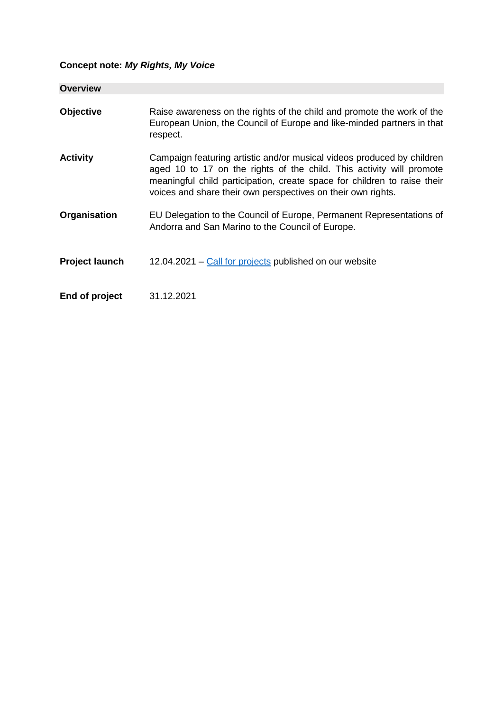# **Concept note:** *My Rights, My Voice*

| <b>Overview</b>       |                                                                                                                                                                                                                                                                                            |
|-----------------------|--------------------------------------------------------------------------------------------------------------------------------------------------------------------------------------------------------------------------------------------------------------------------------------------|
| <b>Objective</b>      | Raise awareness on the rights of the child and promote the work of the<br>European Union, the Council of Europe and like-minded partners in that<br>respect.                                                                                                                               |
| <b>Activity</b>       | Campaign featuring artistic and/or musical videos produced by children<br>aged 10 to 17 on the rights of the child. This activity will promote<br>meaningful child participation, create space for children to raise their<br>voices and share their own perspectives on their own rights. |
| Organisation          | EU Delegation to the Council of Europe, Permanent Representations of<br>Andorra and San Marino to the Council of Europe.                                                                                                                                                                   |
| <b>Project launch</b> | 12.04.2021 – Call for projects published on our website                                                                                                                                                                                                                                    |
| End of project        | 31.12.2021                                                                                                                                                                                                                                                                                 |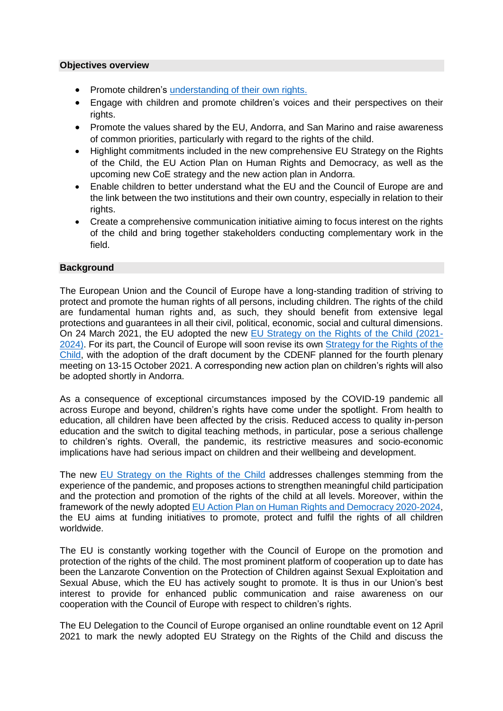#### **Objectives overview**

- Promote children's [understanding of their own rights.](https://www.coe.int/en/web/children/i-have-rights-you-have-rights-he/she-has-rights-...)
- Engage with children and promote children's voices and their perspectives on their rights.
- Promote the values shared by the EU, Andorra, and San Marino and raise awareness of common priorities, particularly with regard to the rights of the child.
- Highlight commitments included in the new comprehensive EU Strategy on the Rights of the Child, the EU Action Plan on Human Rights and Democracy, as well as the upcoming new CoE strategy and the new action plan in Andorra.
- Enable children to better understand what the EU and the Council of Europe are and the link between the two institutions and their own country, especially in relation to their rights.
- Create a comprehensive communication initiative aiming to focus interest on the rights of the child and bring together stakeholders conducting complementary work in the field.

## **Background**

The European Union and the Council of Europe have a long-standing tradition of striving to protect and promote the human rights of all persons, including children. The rights of the child are fundamental human rights and, as such, they should benefit from extensive legal protections and guarantees in all their civil, political, economic, social and cultural dimensions. On 24 March 2021, the EU adopted the new [EU Strategy on the Rights of the Child \(2021-](https://ec.europa.eu/commission/presscorner/detail/en/ip_21_1226) [2024\).](https://ec.europa.eu/commission/presscorner/detail/en/ip_21_1226) For its part, the Council of Europe will soon revise its own Strategy for the Rights of the [Child,](https://rm.coe.int/CoERMPublicCommonSearchServices/DisplayDCTMContent?documentId=090000168066cff8) with the adoption of the draft document by the CDENF planned for the fourth plenary meeting on 13-15 October 2021. A corresponding new action plan on children's rights will also be adopted shortly in Andorra.

As a consequence of exceptional circumstances imposed by the COVID-19 pandemic all across Europe and beyond, children's rights have come under the spotlight. From health to education, all children have been affected by the crisis. Reduced access to quality in-person education and the switch to digital teaching methods, in particular, pose a serious challenge to children's rights. Overall, the pandemic, its restrictive measures and socio-economic implications have had serious impact on children and their wellbeing and development.

The new [EU Strategy on the Rights of the Child](https://ec.europa.eu/commission/presscorner/detail/en/ip_21_1226) addresses challenges stemming from the experience of the pandemic, and proposes actions to strengthen meaningful child participation and the protection and promotion of the rights of the child at all levels. Moreover, within the framework of the newly adopted [EU Action Plan on Human Rights and Democracy 2020-2024,](https://ec.europa.eu/commission/presscorner/detail/en/ip_20_492) the EU aims at funding initiatives to promote, protect and fulfil the rights of all children worldwide.

The EU is constantly working together with the Council of Europe on the promotion and protection of the rights of the child. The most prominent platform of cooperation up to date has been the Lanzarote Convention on the Protection of Children against Sexual Exploitation and Sexual Abuse, which the EU has actively sought to promote. It is thus in our Union's best interest to provide for enhanced public communication and raise awareness on our cooperation with the Council of Europe with respect to children's rights.

The EU Delegation to the Council of Europe organised an online roundtable event on 12 April 2021 to mark the newly adopted EU Strategy on the Rights of the Child and discuss the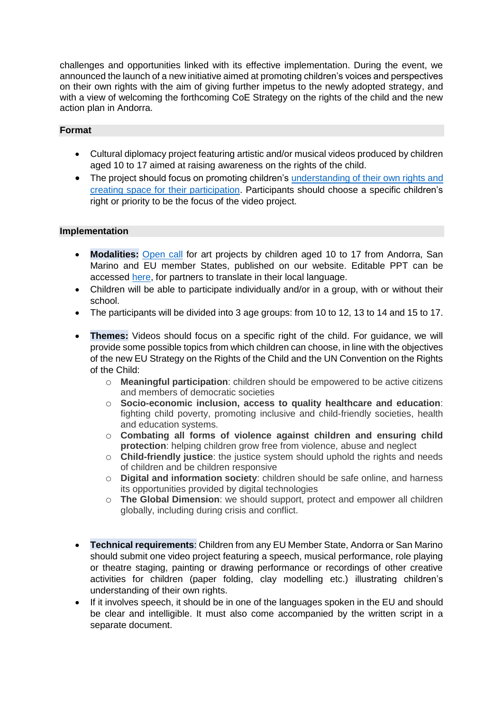challenges and opportunities linked with its effective implementation. During the event, we announced the launch of a new initiative aimed at promoting children's voices and perspectives on their own rights with the aim of giving further impetus to the newly adopted strategy, and with a view of welcoming the forthcoming CoE Strategy on the rights of the child and the new action plan in Andorra.

# **Format**

- Cultural diplomacy project featuring artistic and/or musical videos produced by children aged 10 to 17 aimed at raising awareness on the rights of the child.
- The project should focus on promoting children's [understanding of their own rights](https://www.coe.int/en/web/children/i-have-rights-you-have-rights-he/she-has-rights-...) and creating space for their participation. Participants should choose a specific children's right or priority to be the focus of the video project.

## **Implementation**

- **Modalities:** [Open call](https://eeas.europa.eu/delegations/council-europe/96511/open-call-projects-children-my-rights-my-voice_en) for art projects by children aged 10 to 17 from Andorra, San Marino and EU member States, published on our website. Editable PPT can be accessed [here,](https://drive.google.com/drive/folders/1H62q7BzxvVtv9ckisEZcbe0CCn8IgKE4?usp=sharing) for partners to translate in their local language.
- Children will be able to participate individually and/or in a group, with or without their school.
- The participants will be divided into 3 age groups: from 10 to 12, 13 to 14 and 15 to 17.
- **Themes:** Videos should focus on a specific right of the child. For guidance, we will provide some possible topics from which children can choose, in line with the objectives of the new EU Strategy on the Rights of the Child and the UN Convention on the Rights of the Child:
	- o **Meaningful participation**: children should be empowered to be active citizens and members of democratic societies
	- o **Socio-economic inclusion, access to quality healthcare and education**: fighting child poverty, promoting inclusive and child-friendly societies, health and education systems.
	- o **Combating all forms of violence against children and ensuring child protection**: helping children grow free from violence, abuse and neglect
	- o **Child-friendly justice**: the justice system should uphold the rights and needs of children and be children responsive
	- o **Digital and information society**: children should be safe online, and harness its opportunities provided by digital technologies
	- o **The Global Dimension**: we should support, protect and empower all children globally, including during crisis and conflict.
- **Technical requirements**: Children from any EU Member State, Andorra or San Marino should submit one video project featuring a speech, musical performance, role playing or theatre staging, painting or drawing performance or recordings of other creative activities for children (paper folding, clay modelling etc.) illustrating children's understanding of their own rights.
- If it involves speech, it should be in one of the languages spoken in the EU and should be clear and intelligible. It must also come accompanied by the written script in a separate document.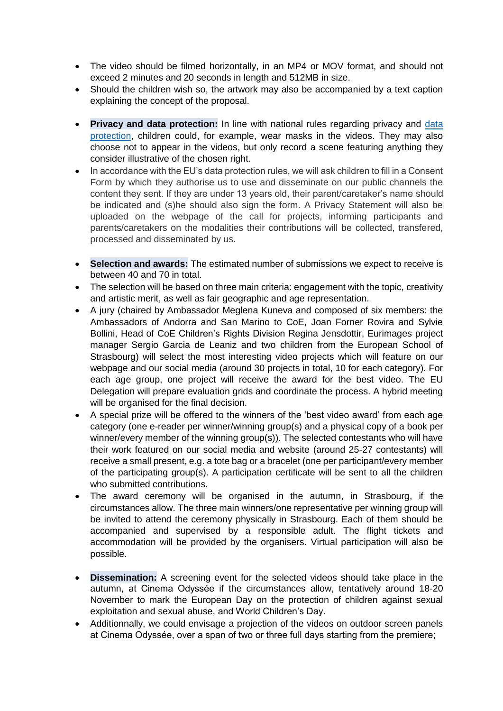- The video should be filmed horizontally, in an MP4 or MOV format, and should not exceed 2 minutes and 20 seconds in length and 512MB in size.
- Should the children wish so, the artwork may also be accompanied by a text caption explaining the concept of the proposal.
- **Privacy and data protection:** In line with national rules regarding privacy and [data](https://eeas.europa.eu/sites/default/files/consent_form_my_rights_my_voice.docx)  [protection,](https://eeas.europa.eu/sites/default/files/consent_form_my_rights_my_voice.docx) children could, for example, wear masks in the videos. They may also choose not to appear in the videos, but only record a scene featuring anything they consider illustrative of the chosen right.
- In accordance with the EU's data protection rules, we will ask children to fill in a Consent Form by which they authorise us to use and disseminate on our public channels the content they sent. If they are under 13 years old, their parent/caretaker's name should be indicated and (s)he should also sign the form. A Privacy Statement will also be uploaded on the webpage of the call for projects, informing participants and parents/caretakers on the modalities their contributions will be collected, transfered, processed and disseminated by us.
- **Selection and awards:** The estimated number of submissions we expect to receive is between 40 and 70 in total.
- The selection will be based on three main criteria: engagement with the topic, creativity and artistic merit, as well as fair geographic and age representation.
- A jury (chaired by Ambassador Meglena Kuneva and composed of six members: the Ambassadors of Andorra and San Marino to CoE, Joan Forner Rovira and Sylvie Bollini, Head of CoE Children's Rights Division Regina Jensdottir, Eurimages project manager Sergio Garcia de Leaniz and two children from the European School of Strasbourg) will select the most interesting video projects which will feature on our webpage and our social media (around 30 projects in total, 10 for each category). For each age group, one project will receive the award for the best video. The EU Delegation will prepare evaluation grids and coordinate the process. A hybrid meeting will be organised for the final decision.
- A special prize will be offered to the winners of the 'best video award' from each age category (one e-reader per winner/winning group(s) and a physical copy of a book per winner/every member of the winning group(s)). The selected contestants who will have their work featured on our social media and website (around 25-27 contestants) will receive a small present, e.g. a tote bag or a bracelet (one per participant/every member of the participating group(s). A participation certificate will be sent to all the children who submitted contributions.
- The award ceremony will be organised in the autumn, in Strasbourg, if the circumstances allow. The three main winners/one representative per winning group will be invited to attend the ceremony physically in Strasbourg. Each of them should be accompanied and supervised by a responsible adult. The flight tickets and accommodation will be provided by the organisers. Virtual participation will also be possible.
- **Dissemination:** A screening event for the selected videos should take place in the autumn, at Cinema Odyssée if the circumstances allow, tentatively around 18-20 November to mark the European Day on the protection of children against sexual exploitation and sexual abuse, and World Children's Day.
- Additionnally, we could envisage a projection of the videos on outdoor screen panels at Cinema Odyssée, over a span of two or three full days starting from the premiere;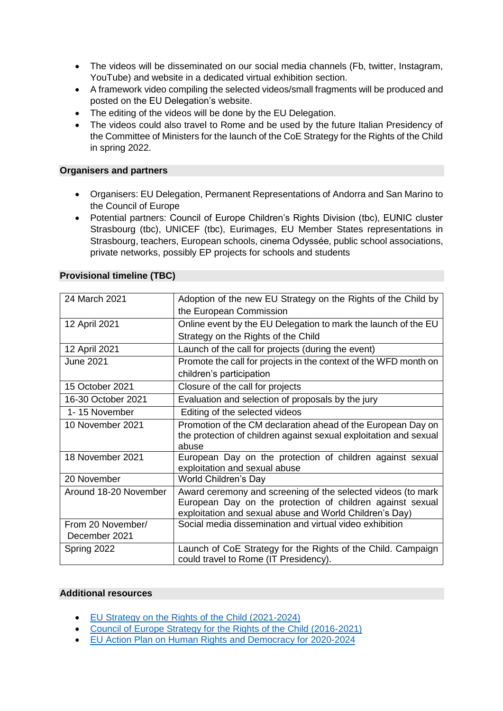- The videos will be disseminated on our social media channels (Fb, twitter, Instagram, YouTube) and website in a dedicated virtual exhibition section.
- A framework video compiling the selected videos/small fragments will be produced and posted on the EU Delegation's website.
- The editing of the videos will be done by the EU Delegation.
- The videos could also travel to Rome and be used by the future Italian Presidency of the Committee of Ministers for the launch of the CoE Strategy for the Rights of the Child in spring 2022.

#### **Organisers and partners**

- Organisers: EU Delegation, Permanent Representations of Andorra and San Marino to the Council of Europe
- Potential partners: Council of Europe Children's Rights Division (tbc), EUNIC cluster Strasbourg (tbc), UNICEF (tbc), Eurimages, EU Member States representations in Strasbourg, teachers, European schools, cinema Odyssée, public school associations, private networks, possibly EP projects for schools and students

| 24 March 2021         | Adoption of the new EU Strategy on the Rights of the Child by                              |
|-----------------------|--------------------------------------------------------------------------------------------|
|                       | the European Commission                                                                    |
| 12 April 2021         | Online event by the EU Delegation to mark the launch of the EU                             |
|                       | Strategy on the Rights of the Child                                                        |
| 12 April 2021         | Launch of the call for projects (during the event)                                         |
| <b>June 2021</b>      | Promote the call for projects in the context of the WFD month on                           |
|                       | children's participation                                                                   |
| 15 October 2021       | Closure of the call for projects                                                           |
| 16-30 October 2021    | Evaluation and selection of proposals by the jury                                          |
| 1-15 November         | Editing of the selected videos                                                             |
| 10 November 2021      | Promotion of the CM declaration ahead of the European Day on                               |
|                       | the protection of children against sexual exploitation and sexual                          |
|                       | abuse                                                                                      |
| 18 November 2021      | European Day on the protection of children against sexual<br>exploitation and sexual abuse |
| 20 November           | World Children's Day                                                                       |
| Around 18-20 November | Award ceremony and screening of the selected videos (to mark                               |
|                       | European Day on the protection of children against sexual                                  |
|                       | exploitation and sexual abuse and World Children's Day)                                    |
| From 20 November/     | Social media dissemination and virtual video exhibition                                    |
| December 2021         |                                                                                            |
| Spring 2022           | Launch of CoE Strategy for the Rights of the Child. Campaign                               |
|                       | could travel to Rome (IT Presidency).                                                      |

#### **Provisional timeline (TBC)**

#### **Additional resources**

- [EU Strategy on the Rights of the Child \(2021-2024\)](https://ec.europa.eu/info/policies/justice-and-fundamental-rights/rights-child/eu-strategy-rights-child-and-european-child-guarantee_en)
- [Council of Europe Strategy for the Rights of the Child \(2016-2021\)](https://www.coe.int/en/web/children/children-s-strategy)
- [EU Action Plan on Human Rights and Democracy for 2020-2024](https://ec.europa.eu/commission/presscorner/detail/en/ip_20_492)